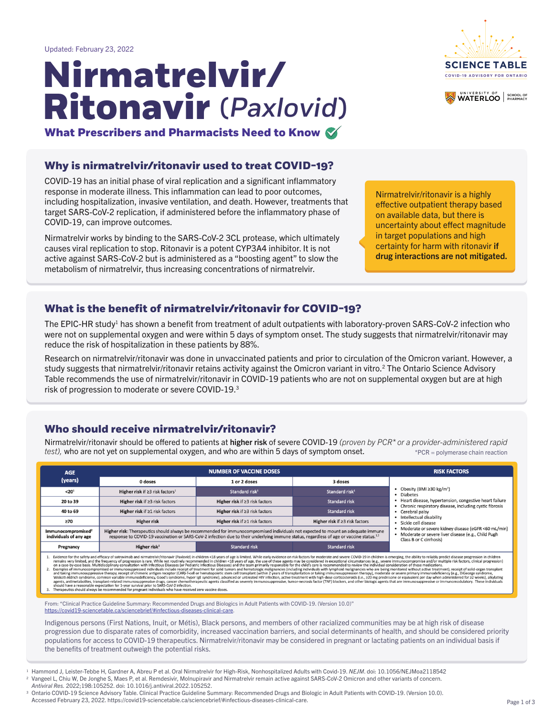#### **Who should receive nirmatrelvir/ritonavir?**

# (*Paxlovid*) **Nirmatrelvir/ Ritonavir**





Updated: February 23, 2022

<sup>2</sup> Vangeel L, Chiu W, De Jonghe S, Maes P, et al. Remdesivir, Molnupiravir and Nirmatrelvir remain active against SARS-CoV-2 Omicron and other variants of concern. *Antiviral Res.* 2022;198:105252. doi: 10.1016/j.antiviral.2022.105252.

<sup>3</sup> Ontario COVID-19 Science Advisory Table. Clinical Practice Guideline Summary: Recommended Drugs and Biologic in Adult Patients with COVID-19. (Version 10.0). Accessed February 23, 2022. https://covid19-sciencetable.ca/sciencebrief/#infectious-diseases-clinical-care.

**What Prescribers and Pharmacists Need to Know**

The EPIC-HR study<sup>1</sup> has shown a benefit from treatment of adult outpatients with laboratory-proven SARS-CoV-2 infection who were not on supplemental oxygen and were within 5 days of symptom onset. The study suggests that nirmatrelvir/ritonavir may reduce the risk of hospitalization in these patients by 88%.

#### **Why is nirmatrelvir/ritonavir used to treat COVID-19?**

COVID-19 has an initial phase of viral replication and a significant inflammatory response in moderate illness. This inflammation can lead to poor outcomes, including hospitalization, invasive ventilation, and death. However, treatments that target SARS-CoV-2 replication, if administered before the inflammatory phase of COVID-19, can improve outcomes.

Nirmatrelvir/ritonavir should be offered to patients at higher risk of severe COVID-19 (proven by PCR<sup>\*</sup> or a provider-administered rapid *test),* who are not yet on supplemental oxygen, and who are within 5 days of symptom onset. \*PCR = polymerase chain reaction

| <b>AGE</b>                                                                                                                                                                                                                                                                                                                                                                                                                                                                                                                                                                                                                                                                                                                                                                                                                                                                                                                                                                                                                                                                                                                                                                                                                                                                                                                                                                                                                                                                                                                                                                                                                                                                                                                                                                                                                                       | <b>NUMBER OF VACCINE DOSES</b>                                           |                                      | <b>RISK FACTORS</b>                                                                                                                      |                                                                              |
|--------------------------------------------------------------------------------------------------------------------------------------------------------------------------------------------------------------------------------------------------------------------------------------------------------------------------------------------------------------------------------------------------------------------------------------------------------------------------------------------------------------------------------------------------------------------------------------------------------------------------------------------------------------------------------------------------------------------------------------------------------------------------------------------------------------------------------------------------------------------------------------------------------------------------------------------------------------------------------------------------------------------------------------------------------------------------------------------------------------------------------------------------------------------------------------------------------------------------------------------------------------------------------------------------------------------------------------------------------------------------------------------------------------------------------------------------------------------------------------------------------------------------------------------------------------------------------------------------------------------------------------------------------------------------------------------------------------------------------------------------------------------------------------------------------------------------------------------------|--------------------------------------------------------------------------|--------------------------------------|------------------------------------------------------------------------------------------------------------------------------------------|------------------------------------------------------------------------------|
| (years)                                                                                                                                                                                                                                                                                                                                                                                                                                                                                                                                                                                                                                                                                                                                                                                                                                                                                                                                                                                                                                                                                                                                                                                                                                                                                                                                                                                                                                                                                                                                                                                                                                                                                                                                                                                                                                          | 0 doses                                                                  | 1 or 2 doses                         | 3 doses                                                                                                                                  |                                                                              |
| < 20 <sup>1</sup>                                                                                                                                                                                                                                                                                                                                                                                                                                                                                                                                                                                                                                                                                                                                                                                                                                                                                                                                                                                                                                                                                                                                                                                                                                                                                                                                                                                                                                                                                                                                                                                                                                                                                                                                                                                                                                | Higher risk if $\geq$ 3 risk factors <sup>1</sup>                        | Standard risk <sup>1</sup>           | Standard risk <sup>1</sup>                                                                                                               | • Obesity (BMI $\geq$ 30 kg/m <sup>2</sup> )<br>• Diabetes                   |
| 20 to 39                                                                                                                                                                                                                                                                                                                                                                                                                                                                                                                                                                                                                                                                                                                                                                                                                                                                                                                                                                                                                                                                                                                                                                                                                                                                                                                                                                                                                                                                                                                                                                                                                                                                                                                                                                                                                                         | Higher risk if $\geq$ 3 risk factors                                     | Higher risk if $\geq$ 3 risk factors | <b>Standard risk</b>                                                                                                                     | • Heart disease, hypertension, congestive heart failure                      |
| 40 to 69                                                                                                                                                                                                                                                                                                                                                                                                                                                                                                                                                                                                                                                                                                                                                                                                                                                                                                                                                                                                                                                                                                                                                                                                                                                                                                                                                                                                                                                                                                                                                                                                                                                                                                                                                                                                                                         | Higher risk if $\geq 1$ risk factors                                     | Higher risk if $\geq$ 3 risk factors | <b>Standard risk</b>                                                                                                                     | • Chronic respiratory disease, including cystic fibrosis<br>• Cerebral palsy |
| ≥70                                                                                                                                                                                                                                                                                                                                                                                                                                                                                                                                                                                                                                                                                                                                                                                                                                                                                                                                                                                                                                                                                                                                                                                                                                                                                                                                                                                                                                                                                                                                                                                                                                                                                                                                                                                                                                              | <b>Higher risk</b>                                                       | Higher risk if $\geq 1$ risk factors | Higher risk if $\geq$ 3 risk factors                                                                                                     | • Intellectual disability<br>· Sickle cell disease                           |
| Higher risk: Therapeutics should always be recommended for immunocompromised individuals not expected to mount an adequate immune<br>Immunocompromised <sup>2</sup><br>response to COVID-19 vaccination or SARS-CoV-2 infection due to their underlying immune status, regardless of age or vaccine status. <sup>1,2</sup><br>individuals of any age                                                                                                                                                                                                                                                                                                                                                                                                                                                                                                                                                                                                                                                                                                                                                                                                                                                                                                                                                                                                                                                                                                                                                                                                                                                                                                                                                                                                                                                                                             |                                                                          |                                      | • Moderate or severe kidney disease (eGFR <60 mL/min)<br>• Moderate or severe liver disease (e.g., Child Pugh<br>Class B or C cirrhosis) |                                                                              |
| Pregnancy                                                                                                                                                                                                                                                                                                                                                                                                                                                                                                                                                                                                                                                                                                                                                                                                                                                                                                                                                                                                                                                                                                                                                                                                                                                                                                                                                                                                                                                                                                                                                                                                                                                                                                                                                                                                                                        | <b>Standard risk</b><br>Higher risk <sup>3</sup><br><b>Standard risk</b> |                                      |                                                                                                                                          |                                                                              |
| Evidence for the safety and efficacy of sotrovimab and nirmatrelvir/ritonavir (Paxlovid) in children <18 years of age is limited. While early evidence on risk factors for moderate and severe COVID-19 in children is emergin<br>remains very limited, and the frequency of progression is rare. While not routinely recommended in children <18 years of age, the use of these agents may be considered in exceptional circumstances (e.g., severe immunocompr<br>on a case-by-case basis. Multidisciplinary consultation with Infectious Diseases (or Pediatric Infectious Diseases) and the team primarily responsible for the child's care is recommended to review the individual considerat<br>Examples of immunocompromised or immunosuppressed individuals include receipt of treatment for solid tumors and hematologic malignancies (including individuals with lymphoid malignancies who are being monitored without act<br>and taking immunosuppressive therapy, receipt of chimeric antigen receptor (CAR)-T-cell or hematopoietic stem cell transplant (within 2 years of transplantation or taking immunosuppression therapy), moderate or severe prim<br>Wiskott-Aldrich syndrome, common variable immunodeficiency, Good's syndrome, hyper IgE syndrome), advanced or untreated HIV infection, active treatment with high-dose corticosteroids (i.e., ≥20 mg prednisone or equivalent<br>agents, antimetabolites, transplant-related immunosuppressive drugs, cancer chemotherapeutic agents classified as severely immunosuppressive, tumor-necrosis factor (TNF) blockers, and other biologic agents that are immunos<br>should have a reasonable expectation for 1-year survival prior to SARS-CoV-2 infection.<br>Therapeutics should always be recommended for pregnant individuals who have received zero vaccine doses. |                                                                          |                                      |                                                                                                                                          |                                                                              |

Nirmatrelvir works by binding to the SARS-CoV-2 3CL protease, which ultimately causes viral replication to stop. Ritonavir is a potent CYP3A4 inhibitor. It is not active against SARS-CoV-2 but is administered as a "boosting agent" to slow the metabolism of nirmatrelvir, thus increasing concentrations of nirmatrelvir.

#### **What is the benefit of nirmatrelvir/ritonavir for COVID-19?**

Research on nirmatrelvir/ritonavir was done in unvaccinated patients and prior to circulation of the Omicron variant. However, a study suggests that nirmatrelvir/ritonavir retains activity against the Omicron variant in vitro.<sup>2</sup> The Ontario Science Advisory Table recommends the use of nirmatrelvir/ritonavir in COVID-19 patients who are not on supplemental oxygen but are at high risk of progression to moderate or severe COVID-19.3

Nirmatrelvir/ritonavir is a highly effective outpatient therapy based on available data, but there is uncertainty about effect magnitude in target populations and high certainty for harm with ritonavir if drug interactions are not mitigated.

Indigenous persons (First Nations, Inuit, or Métis), Black persons, and members of other racialized communities may be at high risk of disease progression due to disparate rates of comorbidity, increased vaccination barriers, and social determinants of health, and should be considered priority populations for access to COVID-19 therapeutics. Nirmatrelvir/ritonavir may be considered in pregnant or lactating patients on an individual basis if the benefits of treatment outweigh the potential risks.

<sup>1</sup> [Hammond J, Leister-Tebbe H, Gardner A, Abreu P et al. Oral Nirmatrelvir for High-Risk, Nonhospitalized Adults with Covid-19.](https://www.nejm.org/doi/full/10.1056/NEJMoa2118542) NEJM. doi: 10.1056/NEJMoa2118542

From: "Clinical Practice Guideline Summary: Recommended Drugs and Biologics in Adult Patients with COVID-19. (Version 10.0)" [https://covid19-sciencetable.ca/sciencebrief/#infectious-diseases-clinical-care.](https://covid19-sciencetable.ca/sciencebrief/#infectious-diseases-clinical-care)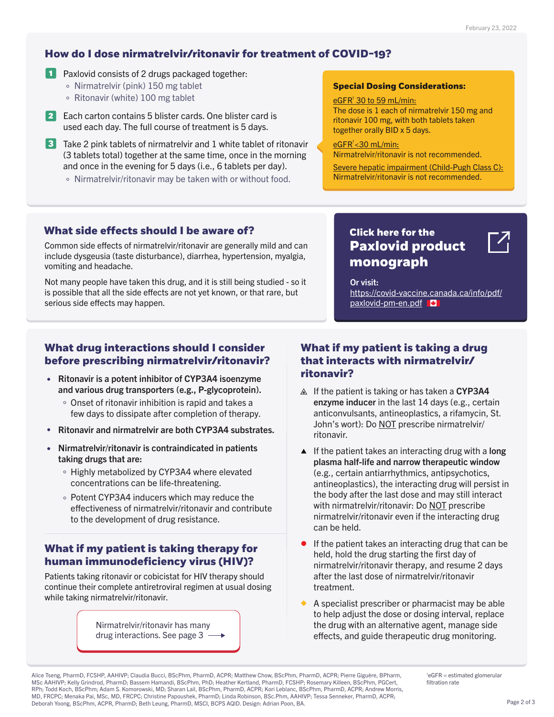#### **How do I dose nirmatrelvir/ritonavir for treatment of COVID-19?**

- **1** Paxlovid consists of 2 drugs packaged together:
	- Nirmatrelvir (pink) 150 mg tablet
	- $\circ$  Ritonavir (white) 100 mg tablet
- **2** Each carton contains 5 blister cards. One blister card is used each day. The full course of treatment is 5 days.
- **3** Take 2 pink tablets of nirmatrelvir and 1 white tablet of ritonavir (3 tablets total) together at the same time, once in the morning and once in the evening for 5 days (i.e., 6 tablets per day).
	- Nirmatrelvir/ritonavir may be taken with or without food.

#### **What drug interactions should I consider before prescribing nirmatrelvir/ritonavir?**

# **What if my patient is taking a drug that interacts with nirmatrelvir/**

eGFR<sup>†</sup> 30 to 59 mL/min: The dose is 1 each of nirmatrelvir 150 mg and ritonavir 100 mg, with both tablets taken together orally BID x 5 days.

#### <u>eGFR<sup>†</sup><30 mL/min:</u>

- $\triangle$  If the patient is taking or has taken a CYP3A4 enzyme inducer in the last 14 days (e.g., certain anticonvulsants, antineoplastics, a rifamycin, St. John's wort): Do NOT prescribe nirmatrelvir/ ritonavir.
- few days to dissipate after completion of therapy.
- Ritonavir and nirmatrelvir are both CYP3A4 substrates.  $\bullet$
- Nirmatrelvir/ritonavir is contraindicated in patients  $\bullet$ taking drugs that are:
	- Highly metabolized by CYP3A4 where elevated concentrations can be life-threatening.
	- Potent CYP3A4 inducers which may reduce the effectiveness of nirmatrelvir/ritonavir and contribute to the development of drug resistance.
- **•** Ritonavir is a potent inhibitor of CYP3A4 isoenzyme **ritonavir?** and various drug transporters (e.g., P-glycoprotein).
	- Onset of ritonavir inhibition is rapid and takes a

[Nirmatrelvir/ritonavir has many](#page-2-0)  drug interactions. See page 3  $\longrightarrow$ 

- $\blacktriangle$  If the patient takes an interacting drug with a long plasma half-life and narrow therapeutic window (e.g., certain antiarrhythmics, antipsychotics, antineoplastics), the interacting drug will persist in the body after the last dose and may still interact with nirmatrelvir/ritonavir: Do NOT prescribe nirmatrelvir/ritonavir even if the interacting drug can be held.
- If the patient takes an interacting drug that can be held, hold the drug starting the first day of nirmatrelvir/ritonavir therapy, and resume 2 days after the last dose of nirmatrelvir/ritonavir treatment.
- A specialist prescriber or pharmacist may be able to help adjust the dose or dosing interval, replace the drug with an alternative agent, manage side effects, and guide therapeutic drug monitoring.

 $\mathsf{t}_\mathsf{e}$ GFR = estimated glomerular filtration rate

Common side effects of nirmatrelvir/ritonavir are generally mild and can include dysgeusia (taste disturbance), diarrhea, hypertension, myalgia, vomiting and headache.

Not many people have taken this drug, and it is still being studied - so it is possible that all the side effects are not yet known, or that rare, but serious side effects may happen.

Nirmatrelvir/ritonavir is not recommended.

Severe hepatic impairment (Child-Pugh Class C): Nirmatrelvir/ritonavir is not recommended.

#### **Special Dosing Considerations:**

Or visit: https://covid-vaccine.canada.ca/info/pdf/ paxlovid-pm-en.pdf

#### **What if my patient is taking therapy for human immunodeficiency virus (HIV)?**

Patients taking ritonavir or cobicistat for HIV therapy should continue their complete antiretroviral regimen at usual dosing while taking nirmatrelvir/ritonavir.

#### **What side effects should I be aware of?**

Alice Tseng, PharmD, FCSHP, AAHIVP; Claudia Bucci, BScPhm, PharmD, ACPR; Matthew Chow, BScPhm, PharmD, ACPR; Pierre Giguère, BPharm, MSc AAHIVP; Kelly Grindrod, PharmD; Bassem Hamandi, BScPhm, PhD; Heather Kertland, PharmD, FCSHP; Rosemary Killeen, BScPhm, PGCert, RPh; Todd Koch, BScPhm; Adam S. Komorowski, MD; Sharan Lail, BScPhm, PharmD, ACPR; Kori Leblanc, BScPhm, PharmD, ACPR; Andrew Morris, MD, FRCPC; Menaka Pai, MSc, MD, FRCPC; Christine Papoushek, PharmD; Linda Robinson, BSc.Phm, AAHIVP; Tessa Senneker, PharmD, ACPR; Deborah Yoong, BScPhm, ACPR, PharmD; Beth Leung, PharmD, MSCI, BCPS AQID. Design: Adrian Poon, BA.

#### **Click here for the [Paxlovid product](https://covid-vaccine.canada.ca/info/pdf/paxlovid-pm-en.pdf)  monograph**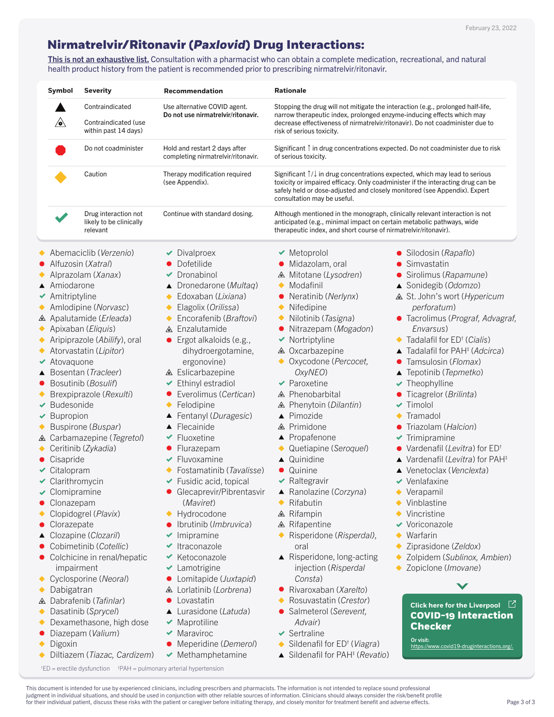This is not an exhaustive list. Consultation with a pharmacist who can obtain a complete medication, recreational, and natural health product history from the patient is recommended prior to prescribing nirmatrelvir/ritonavir.

### <span id="page-2-0"></span>**Nirmatrelvir/Ritonavir (***Paxlovid***) Drug Interactions:**

† ED = erectile dysfunction ‡ PAH = pulmonary arterial hypertension

- 
- $\vee$  Bupropion
- Buspirone (*Buspar*)
- Carbamazepine (*Tegretol*)
- Ceritinib (*Zykadia*)
- **Cisapride**
- Citalopram
- Clarithromycin
- $\triangleleft$  Clomipramine
- **Clonazepam**
- Clopidogrel (*Plavix*)
- **Clorazepate**
- Clozapine (*Clozaril*)
- Cobimetinib (*Cotellic*)
- Colchicine in renal/hepatic impairment
- Cyclosporine (*Neoral*)  $\blacklozenge$
- Dabigatran  $\blacklozenge$
- Dabrafenib (*Tafinlar*)
- Dasatinib (*Sprycel*)  $\blacklozenge$
- Dexamethasone, high dose  $\blacklozenge$
- Diazepam (*Valium*)
- Digoxin ◆
- Diltiazem (*Tiazac, Cardizem*)
- 
- Fentanyl (*Duragesic*)
- ▲ Flecainide
- $\blacktriangleright$  Fluoxetine
- Flurazepam
- $\blacktriangleright$  Fluvoxamine
- Fostamatinib (*Tavalisse*)
- $\blacktriangleright$  Fusidic acid, topical
- **Glecaprevir/Pibrentasvir** (*Maviret*)
- ◆ Hydrocodone
- Ibrutinib (*Imbruvica*)
- $\blacktriangleright$  Imipramine
- $\blacktriangleright$  Itraconazole
- $\blacktriangleright$  Ketoconazole
- ◆ Lamotrigine
- Lomitapide (*Juxtapid*)
- Lorlatinib (*Lorbrena*)
- Lovastatin  $\bullet$
- Lurasidone (*Latuda*)
- $\blacktriangleright$  Maprotiline
- $\blacktriangleright$  Maraviroc
- Meperidine (*Demerol*)
- $\blacktriangleright$  Methamphetamine
- 
- ▲ Pimozide
- ▲ Primidone
- ▲ Propafenone
- Quetiapine (*Seroquel*)
- ▲ Quinidine
- **Quinine**
- $\blacktriangleright$  Raltegravir
- Ranolazine (*Corzyna*)
- Rifabutin
- **△** Rifampin
- ▲ Rifapentine
- Risperidone (*Risperdal)*, oral
- ▲ Risperidone, long-acting injection (*Risperdal Consta*)
- Rivaroxaban (*Xarelto*)
- Rosuvastatin (*Crestor*)
- Salmeterol (*Serevent, Advair*)
- $\blacktriangleright$  Sertraline
- Sildenafil for ED† (*Viagra*)
- Sildenafil for PAH‡ (*Revatio*)
- 
- $\blacklozenge$  Tramadol
- Triazolam (*Halcion*)
- $\blacktriangleright$  Trimipramine
- Vardenafil (*Levitra*) for ED†
- Vardenafil (*Levitra*) for PAH‡
- Venetoclax (*Venclexta*)
- $\vee$  Venlafaxine
- Verapamil
- ◆ Vinblastine
- Vincristine
- ◆ Voriconazole
- Warfarin
- Ziprasidone (*Zeldox*)
- Zolpidem (*Sublinox, Ambien*)
- Zopiclone (*Imovane*)

This document is intended for use by experienced clinicians, including prescribers and pharmacists. The information is not intended to replace sound professional judgment in individual situations, and should be used in conjunction with other reliable sources of information. Clinicians should always consider the risk/benefit profile for their individual patient, discuss these risks with the patient or caregiver before initiating therapy, and closely monitor for treatment benefit and adverse effects.

| <b>Symbol</b>                       | <b>Severity</b>                                             | <b>Recommendation</b>                                               | <b>Rationale</b>                                                                                                                                                                                         |                                                                                         |  |
|-------------------------------------|-------------------------------------------------------------|---------------------------------------------------------------------|----------------------------------------------------------------------------------------------------------------------------------------------------------------------------------------------------------|-----------------------------------------------------------------------------------------|--|
|                                     | Contraindicated                                             | Use alternative COVID agent.                                        | Stopping the drug will not mitigate the interaction (e.g., prolonged half-life,                                                                                                                          |                                                                                         |  |
| $\backslash$ o $\backslash$         | <b>Contraindicated (use</b><br>within past 14 days)         | Do not use nirmatrelvir/ritonavir.                                  | narrow therapeutic index, prolonged enzyme-inducing effects which may<br>decrease effectiveness of nirmatrelyir/ritonavir). Do not coadminister due to<br>risk of serious toxicity.                      |                                                                                         |  |
|                                     | Do not coadminister                                         | Hold and restart 2 days after<br>completing nirmatrelvir/ritonavir. | of serious toxicity.                                                                                                                                                                                     | Significant $\uparrow$ in drug concentrations expected. Do not coadminister due to risk |  |
|                                     | Caution                                                     | Therapy modification required<br>(see Appendix).                    | Significant $\uparrow/\downarrow$ in drug concentrations expected, which may lead to serious<br>safely held or dose-adjusted and closely monitored (see Appendix). Expert<br>consultation may be useful. | toxicity or impaired efficacy. Only coadminister if the interacting drug can be         |  |
|                                     | Drug interaction not<br>likely to be clinically<br>relevant | Continue with standard dosing.                                      | anticipated (e.g., minimal impact on certain metabolic pathways, wide<br>therapeutic index, and short course of nirmatrelvir/ritonavir).                                                                 | Although mentioned in the monograph, clinically relevant interaction is not             |  |
|                                     | Abemaciclib (Verzenio)                                      | Divalproex                                                          | $\blacktriangleright$ Metoprolol                                                                                                                                                                         | • Silodosin ( <i>Rapaflo</i> )                                                          |  |
|                                     | • Alfuzosin ( <i>Xatral</i> )                               | Dofetilide                                                          | • Midazolam, oral                                                                                                                                                                                        | • Simvastatin                                                                           |  |
|                                     | Alprazolam ( <i>Xanax</i> )                                 | Dronabinol                                                          | △ Mitotane (Lysodren)                                                                                                                                                                                    | • Sirolimus ( <i>Rapamune</i> )                                                         |  |
| ▲ Amiodarone                        |                                                             | ▲ Dronedarone ( <i>Multaq</i> )                                     | $\blacklozenge$ Modafinil                                                                                                                                                                                | ▲ Sonidegib (Odomzo)                                                                    |  |
| $\blacktriangleright$ Amitriptyline |                                                             | Edoxaban ( <i>Lixiana</i> )                                         | • Neratinib (Nerlynx)                                                                                                                                                                                    | <b>△ St. John's wort (Hypericum</b>                                                     |  |
|                                     | Amlodipine ( <i>Norvasc</i> )                               | Elagolix ( <i>Orilissa</i> )                                        | $\blacklozenge$ Nifedipine                                                                                                                                                                               | <i>perforatum</i> )                                                                     |  |
|                                     | ▲ Apalutamide ( <i>Erleada</i> )                            | Encorafenib ( <i>Braftovi</i> )                                     | $\bullet$ Nilotinib ( <i>Tasigna</i> )                                                                                                                                                                   | • Tacrolimus ( <i>Prograf, Advagraf,</i>                                                |  |
|                                     | Apixaban ( <i>Eliquis</i> )                                 | △ Enzalutamide                                                      | • Nitrazepam ( <i>Mogadon</i> )                                                                                                                                                                          | Envarsus)                                                                               |  |
|                                     | Aripiprazole (Abilify), oral                                | $\bullet$ Ergot alkaloids (e.g.,                                    | $\blacktriangleright$ Nortriptyline                                                                                                                                                                      | ◆ Tadalafil for ED <sup>†</sup> ( <i>Cialis</i> )                                       |  |
|                                     | Atorvastatin (Lipitor)                                      | dihydroergotamine,                                                  | △ Oxcarbazepine                                                                                                                                                                                          | $\blacktriangle$ Tadalafil for PAH <sup><math>\ddagger</math></sup> (Adcirca)           |  |
| $\blacktriangleright$ Atovaquone    |                                                             | ergonovine)                                                         | • Oxycodone ( <i>Percocet</i> ,                                                                                                                                                                          | • Tamsulosin ( <i>Flomax</i> )                                                          |  |
|                                     | ▲ Bosentan ( <i>Tracleer</i> )                              | <b>△</b> Eslicarbazepine                                            | OxyNEO                                                                                                                                                                                                   | $\blacktriangle$ Tepotinib ( <i>Tepmetko</i> )                                          |  |
|                                     | • Bosutinib (Bosulif)                                       | Ethinyl estradiol                                                   | $\blacktriangleright$ Paroxetine                                                                                                                                                                         | $\blacktriangleright$ Theophylline                                                      |  |
|                                     | Brexpiprazole ( <i>Rexulti</i> )                            | Everolimus (Certican)                                               | <b>△</b> Phenobarbital                                                                                                                                                                                   | • Ticagrelor ( <i>Brilinta</i> )                                                        |  |
| $\blacktriangleright$ Budesonide    |                                                             | Felodipine                                                          | △ Phenytoin (Dilantin)                                                                                                                                                                                   | $\blacktriangleright$ Timolol                                                           |  |

#### **[COVID-19 Interaction](https://www.covid19-druginteractions.org/)  Checker Click here for the Liverpool**  $\Box$

**All Contracts** 

Or visit: https://www.covid19-druginteractions.org/.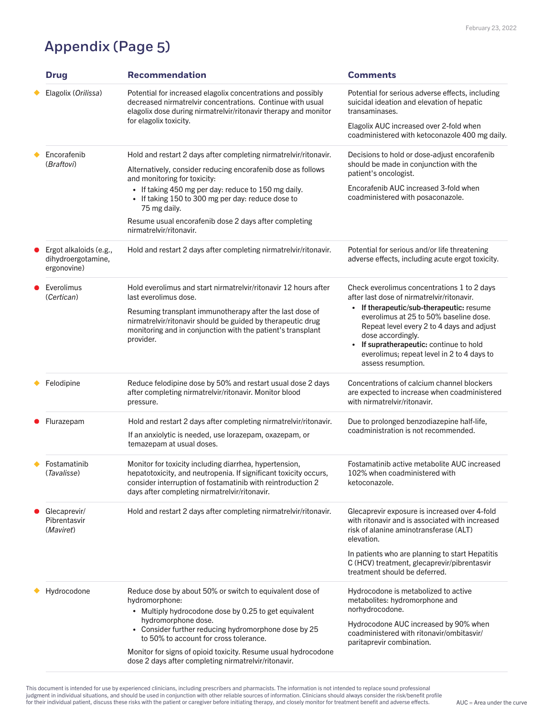# Appendix (Page 5)

|  | <b>Drug</b>                                                           | <b>Recommendation</b>                                                                                                                                                                                                                      | <b>Comments</b>                                                                                                                                                                                                                                                              |
|--|-----------------------------------------------------------------------|--------------------------------------------------------------------------------------------------------------------------------------------------------------------------------------------------------------------------------------------|------------------------------------------------------------------------------------------------------------------------------------------------------------------------------------------------------------------------------------------------------------------------------|
|  | Elagolix (Orilissa)                                                   | Potential for increased elagolix concentrations and possibly<br>decreased nirmatrelyir concentrations. Continue with usual<br>elagolix dose during nirmatrelvir/ritonavir therapy and monitor<br>for elagolix toxicity.                    | Potential for serious adverse effects, including<br>suicidal ideation and elevation of hepatic<br>transaminases.                                                                                                                                                             |
|  |                                                                       |                                                                                                                                                                                                                                            | Elagolix AUC increased over 2-fold when<br>coadministered with ketoconazole 400 mg daily.                                                                                                                                                                                    |
|  | Encorafenib<br>(Braftovi)                                             | Hold and restart 2 days after completing nirmatrely interional inter-<br>Alternatively, consider reducing encorafenib dose as follows                                                                                                      | Decisions to hold or dose-adjust encorafenib<br>should be made in conjunction with the                                                                                                                                                                                       |
|  |                                                                       | and monitoring for toxicity:<br>• If taking 450 mg per day: reduce to 150 mg daily.<br>• If taking 150 to 300 mg per day: reduce dose to<br>75 mg daily.                                                                                   | patient's oncologist.<br>Encorafenib AUC increased 3-fold when<br>coadministered with posaconazole.                                                                                                                                                                          |
|  |                                                                       | Resume usual encorafenib dose 2 days after completing<br>nirmatrelvir/ritonavir.                                                                                                                                                           |                                                                                                                                                                                                                                                                              |
|  | $\bullet$ Ergot alkaloids (e.g.,<br>dihydroergotamine,<br>ergonovine) | Hold and restart 2 days after completing nirmatrely intritionavir.                                                                                                                                                                         | Potential for serious and/or life threatening<br>adverse effects, including acute ergot toxicity.                                                                                                                                                                            |
|  | • Everolimus<br>(Certican)                                            | Hold everolimus and start nirmatrelvir/ritonavir 12 hours after<br>last everolimus dose.                                                                                                                                                   | Check everolimus concentrations 1 to 2 days<br>after last dose of nirmatrelvir/ritonavir.                                                                                                                                                                                    |
|  |                                                                       | Resuming transplant immunotherapy after the last dose of<br>nirmatrelvir/ritonavir should be guided by therapeutic drug<br>monitoring and in conjunction with the patient's transplant<br>provider.                                        | If therapeutic/sub-therapeutic: resume<br>everolimus at 25 to 50% baseline dose.<br>Repeat level every 2 to 4 days and adjust<br>dose accordingly.<br>If supratherapeutic: continue to hold<br>$\bullet$<br>everolimus; repeat level in 2 to 4 days to<br>assess resumption. |
|  | Felodipine                                                            | Reduce felodipine dose by 50% and restart usual dose 2 days<br>after completing nirmatrelvir/ritonavir. Monitor blood<br>pressure.                                                                                                         | Concentrations of calcium channel blockers<br>are expected to increase when coadministered<br>with nirmatrelvir/ritonavir.                                                                                                                                                   |
|  | Flurazepam                                                            | Hold and restart 2 days after completing nirmatrelvir/ritonavir.<br>If an anxiolytic is needed, use lorazepam, oxazepam, or<br>temazepam at usual doses.                                                                                   | Due to prolonged benzodiazepine half-life,<br>coadministration is not recommended.                                                                                                                                                                                           |
|  | <b>Fostamatinib</b><br>(Tavalisse)                                    | Monitor for toxicity including diarrhea, hypertension,<br>hepatotoxicity, and neutropenia. If significant toxicity occurs,<br>consider interruption of fostamatinib with reintroduction 2<br>days after completing nirmatrelvir/ritonavir. | Fostamatinib active metabolite AUC increased<br>$102\%$ when coadministered with<br>ketoconazole.                                                                                                                                                                            |
|  | Glecaprevir/<br>Pibrentasvir<br>( <i>Maviret</i> )                    | Hold and restart 2 days after completing nirmatrely intritionavir.                                                                                                                                                                         | Glecaprevir exposure is increased over 4-fold<br>with ritonavir and is associated with increased<br>risk of alanine aminotransferase (ALT)<br>elevation.                                                                                                                     |
|  |                                                                       |                                                                                                                                                                                                                                            | In patients who are planning to start Hepatitis<br>C (HCV) treatment, glecaprevir/pibrentasvir<br>treatment should be deferred.                                                                                                                                              |
|  | Hydrocodone                                                           | Reduce dose by about 50% or switch to equivalent dose of<br>hydromorphone:<br>• Multiply hydrocodone dose by 0.25 to get equivalent                                                                                                        | Hydrocodone is metabolized to active<br>metabolites: hydromorphone and<br>norhydrocodone.                                                                                                                                                                                    |
|  |                                                                       | hydromorphone dose.<br>• Consider further reducing hydromorphone dose by 25<br>to 50% to account for cross tolerance.                                                                                                                      | Hydrocodone AUC increased by 90% when<br>coadministered with ritonavir/ombitasvir/<br>paritaprevir combination.                                                                                                                                                              |
|  |                                                                       | Monitor for signs of opioid toxicity. Resume usual hydrocodone<br>dose 2 days after completing nirmatrelvir/ritonavir.                                                                                                                     |                                                                                                                                                                                                                                                                              |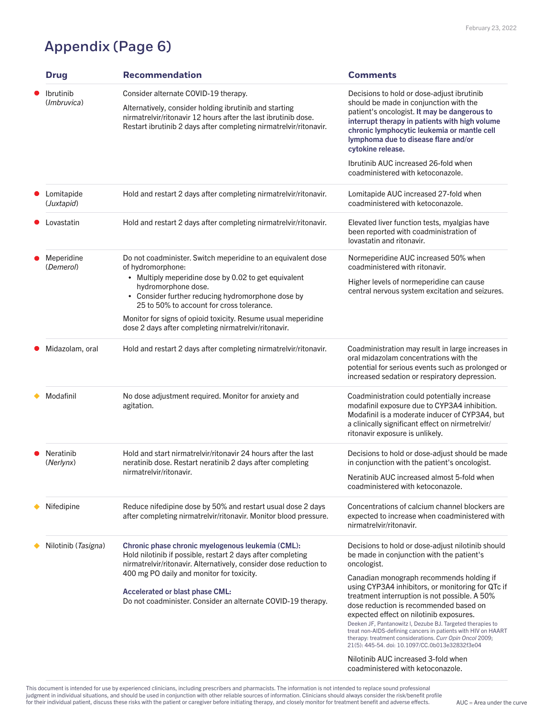## Appendix (Page 6)

|  | <b>Drug</b>                     | <b>Recommendation</b>                                                                                                                                                                                                                                                       | <b>Comments</b>                                                                                                                                                                                                                                                                                                                                                                                                                                                                                                          |
|--|---------------------------------|-----------------------------------------------------------------------------------------------------------------------------------------------------------------------------------------------------------------------------------------------------------------------------|--------------------------------------------------------------------------------------------------------------------------------------------------------------------------------------------------------------------------------------------------------------------------------------------------------------------------------------------------------------------------------------------------------------------------------------------------------------------------------------------------------------------------|
|  | <i>Ibrutinib</i><br>(Imbruvica) | Consider alternate COVID-19 therapy.<br>Alternatively, consider holding ibrutinib and starting<br>nirmatrelvir/ritonavir 12 hours after the last ibrutinib dose.<br>Restart ibrutinib 2 days after completing nirmatrelvir/ritonavir.                                       | Decisions to hold or dose-adjust ibrutinib<br>should be made in conjunction with the<br>patient's oncologist. It may be dangerous to<br>interrupt therapy in patients with high volume<br>chronic lymphocytic leukemia or mantle cell<br>lymphoma due to disease flare and/or<br>cytokine release.<br>Ibrutinib AUC increased 26-fold when                                                                                                                                                                               |
|  |                                 |                                                                                                                                                                                                                                                                             | coadministered with ketoconazole.                                                                                                                                                                                                                                                                                                                                                                                                                                                                                        |
|  | Lomitapide<br>(Juxtapid)        | Hold and restart 2 days after completing nirmatrelvir/ritonavir.                                                                                                                                                                                                            | Lomitapide AUC increased 27-fold when<br>coadministered with ketoconazole.                                                                                                                                                                                                                                                                                                                                                                                                                                               |
|  | _ovastatin                      | Hold and restart 2 days after completing nirmatrelvir/ritonavir.                                                                                                                                                                                                            | Elevated liver function tests, myalgias have<br>been reported with coadministration of<br>lovastatin and ritonavir.                                                                                                                                                                                                                                                                                                                                                                                                      |
|  | Meperidine<br>(Demerol)         | Do not coadminister. Switch meperidine to an equivalent dose<br>of hydromorphone:<br>Multiply meperidine dose by 0.02 to get equivalent<br>hydromorphone dose.<br>Consider further reducing hydromorphone dose by<br>$\bullet$<br>25 to 50% to account for cross tolerance. | Normeperidine AUC increased 50% when<br>coadministered with ritonavir.                                                                                                                                                                                                                                                                                                                                                                                                                                                   |
|  |                                 |                                                                                                                                                                                                                                                                             | Higher levels of normeperidine can cause<br>central nervous system excitation and seizures.                                                                                                                                                                                                                                                                                                                                                                                                                              |
|  |                                 | Monitor for signs of opioid toxicity. Resume usual meperidine<br>dose 2 days after completing nirmatrelvir/ritonavir.                                                                                                                                                       |                                                                                                                                                                                                                                                                                                                                                                                                                                                                                                                          |
|  | Midazolam, oral                 | Hold and restart 2 days after completing nirmatrelvir/ritonavir.                                                                                                                                                                                                            | Coadministration may result in large increases in<br>oral midazolam concentrations with the<br>potential for serious events such as prolonged or<br>increased sedation or respiratory depression.                                                                                                                                                                                                                                                                                                                        |
|  | Modafinil                       | No dose adjustment required. Monitor for anxiety and<br>agitation.                                                                                                                                                                                                          | Coadministration could potentially increase<br>modafinil exposure due to CYP3A4 inhibition.<br>Modafinil is a moderate inducer of CYP3A4, but<br>a clinically significant effect on nirmetrelvir/<br>ritonavir exposure is unlikely.                                                                                                                                                                                                                                                                                     |
|  | <b>Neratinib</b><br>(Nerlynx)   | Hold and start nirmatrelyir/ritonavir 24 hours after the last<br>neratinib dose. Restart neratinib 2 days after completing<br>nirmatrelvir/ritonavir.                                                                                                                       | Decisions to hold or dose-adjust should be made<br>in conjunction with the patient's oncologist.                                                                                                                                                                                                                                                                                                                                                                                                                         |
|  |                                 |                                                                                                                                                                                                                                                                             | Neratinib AUC increased almost 5-fold when<br>coadministered with ketoconazole.                                                                                                                                                                                                                                                                                                                                                                                                                                          |
|  | <b>Nifedipine</b>               | Reduce nifedipine dose by 50% and restart usual dose 2 days<br>after completing nirmatrelvir/ritonavir. Monitor blood pressure.                                                                                                                                             | Concentrations of calcium channel blockers are<br>expected to increase when coadministered with<br>nirmatrelvir/ritonavir.                                                                                                                                                                                                                                                                                                                                                                                               |
|  | Nilotinib ( <i>Tasigna</i> )    | Chronic phase chronic myelogenous leukemia (CML):<br>Hold nilotinib if possible, restart 2 days after completing<br>nirmatrelvir/ritonavir. Alternatively, consider dose reduction to                                                                                       | Decisions to hold or dose-adjust nilotinib should<br>be made in conjunction with the patient's<br>oncologist.                                                                                                                                                                                                                                                                                                                                                                                                            |
|  |                                 | 400 mg PO daily and monitor for toxicity.<br><b>Accelerated or blast phase CML:</b><br>Do not coadminister. Consider an alternate COVID-19 therapy.                                                                                                                         | Canadian monograph recommends holding if<br>using CYP3A4 inhibitors, or monitoring for QTc if<br>treatment interruption is not possible. A 50%<br>dose reduction is recommended based on<br>expected effect on nilotinib exposures.<br>Deeken JF, Pantanowitz I, Dezube BJ. Targeted therapies to<br>treat non-AIDS-defining cancers in patients with HIV on HAART<br>therapy: treatment considerations. Curr Opin Oncol 2009;<br>21(5): 445-54. doi: 10.1097/CC.0b013e32832f3e04<br>Nilotinib AUC increased 3-fold when |
|  |                                 |                                                                                                                                                                                                                                                                             | coadministered with ketoconazole.                                                                                                                                                                                                                                                                                                                                                                                                                                                                                        |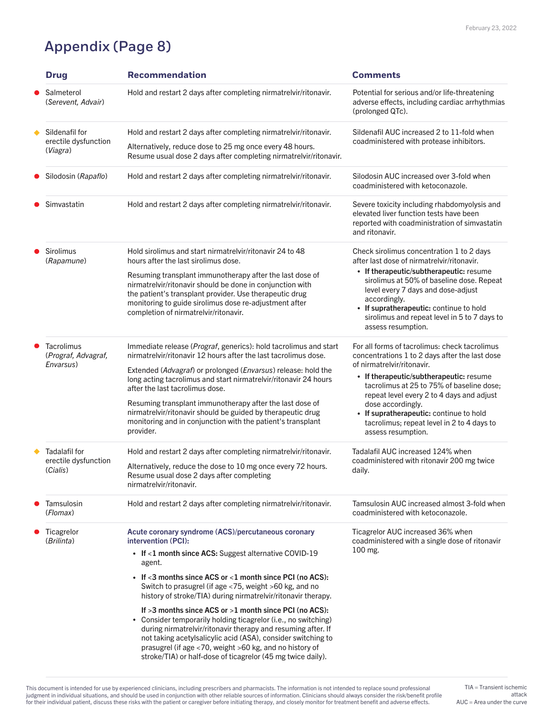# Appendix (Page 8)

 $AUC = Area$  under the curve TIA = Transient ischemic attack

|  | <b>Drug</b>                                           | <b>Recommendation</b>                                                                                                                                                                                                                                                                                                                                                                | <b>Comments</b>                                                                                                                                                                                                                                             |
|--|-------------------------------------------------------|--------------------------------------------------------------------------------------------------------------------------------------------------------------------------------------------------------------------------------------------------------------------------------------------------------------------------------------------------------------------------------------|-------------------------------------------------------------------------------------------------------------------------------------------------------------------------------------------------------------------------------------------------------------|
|  | Salmeterol<br>(Serevent, Advair)                      | Hold and restart 2 days after completing nirmatrelvir/ritonavir.                                                                                                                                                                                                                                                                                                                     | Potential for serious and/or life-threatening<br>adverse effects, including cardiac arrhythmias<br>(prolonged QTc).                                                                                                                                         |
|  | Sildenafil for<br>erectile dysfunction<br>(Viagra)    | Hold and restart 2 days after completing nirmatrelvir/ritonavir.                                                                                                                                                                                                                                                                                                                     | Sildenafil AUC increased 2 to 11-fold when                                                                                                                                                                                                                  |
|  |                                                       | Alternatively, reduce dose to 25 mg once every 48 hours.<br>Resume usual dose 2 days after completing nirmatrelvir/ritonavir.                                                                                                                                                                                                                                                        | coadministered with protease inhibitors.                                                                                                                                                                                                                    |
|  | Silodosin (Rapaflo)                                   | Hold and restart 2 days after completing nirmatrelvir/ritonavir.                                                                                                                                                                                                                                                                                                                     | Silodosin AUC increased over 3-fold when<br>coadministered with ketoconazole.                                                                                                                                                                               |
|  | Simvastatin                                           | Hold and restart 2 days after completing nirmatrelvir/ritonavir.                                                                                                                                                                                                                                                                                                                     | Severe toxicity including rhabdomyolysis and<br>elevated liver function tests have been<br>reported with coadministration of simvastatin<br>and ritonavir.                                                                                                  |
|  | <b>Sirolimus</b><br>(Rapamune)                        | Hold sirolimus and start nirmatrelvir/ritonavir 24 to 48<br>hours after the last sirolimus dose.                                                                                                                                                                                                                                                                                     | Check sirolimus concentration 1 to 2 days<br>after last dose of nirmatrelvir/ritonavir.                                                                                                                                                                     |
|  |                                                       | Resuming transplant immunotherapy after the last dose of<br>nirmatrelvir/ritonavir should be done in conjunction with<br>the patient's transplant provider. Use therapeutic drug<br>monitoring to guide sirolimus dose re-adjustment after<br>completion of nirmatrelvir/ritonavir.                                                                                                  | • If therapeutic/subtherapeutic: resume<br>sirolimus at 50% of baseline dose. Repeat<br>level every 7 days and dose-adjust<br>accordingly.<br>• If supratherapeutic: continue to hold<br>sirolimus and repeat level in 5 to 7 days to<br>assess resumption. |
|  | <b>Tacrolimus</b><br>(Prograf, Advagraf,<br>Envarsus) | Immediate release ( <i>Prograf</i> , generics): hold tacrolimus and start<br>nirmatrelvir/ritonavir 12 hours after the last tacrolimus dose.                                                                                                                                                                                                                                         | For all forms of tacrolimus: check tacrolimus<br>concentrations 1 to 2 days after the last dose                                                                                                                                                             |
|  |                                                       | Extended (Advagraf) or prolonged ( <i>Envarsus</i> ) release: hold the<br>long acting tacrolimus and start nirmatrelvir/ritonavir 24 hours<br>after the last tacrolimus dose.                                                                                                                                                                                                        | of nirmatrelvir/ritonavir.<br>• If therapeutic/subtherapeutic: resume<br>tacrolimus at 25 to 75% of baseline dose;<br>repeat level every 2 to 4 days and adjust                                                                                             |
|  |                                                       | Resuming transplant immunotherapy after the last dose of<br>nirmatrelvir/ritonavir should be guided by therapeutic drug<br>monitoring and in conjunction with the patient's transplant<br>provider.                                                                                                                                                                                  | dose accordingly.<br>• If supratherapeutic: continue to hold<br>tacrolimus; repeat level in 2 to 4 days to<br>assess resumption.                                                                                                                            |
|  | <b>Tadalafil for</b>                                  | Hold and restart 2 days after completing nirmatrelvir/ritonavir.                                                                                                                                                                                                                                                                                                                     | Tadalafil AUC increased 124% when                                                                                                                                                                                                                           |
|  | erectile dysfunction<br>(Cialis)                      | Alternatively, reduce the dose to 10 mg once every 72 hours.<br>Resume usual dose 2 days after completing<br>nirmatrelvir/ritonavir.                                                                                                                                                                                                                                                 | coadministered with ritonavir 200 mg twice<br>daily.                                                                                                                                                                                                        |
|  | Tamsulosin<br>(Flomax)                                | Hold and restart 2 days after completing nirmatrelvir/ritonavir.                                                                                                                                                                                                                                                                                                                     | Tamsulosin AUC increased almost 3-fold when<br>coadministered with ketoconazole.                                                                                                                                                                            |
|  | Ticagrelor<br>(Brilinta)                              | Acute coronary syndrome (ACS)/percutaneous coronary<br>intervention (PCI):                                                                                                                                                                                                                                                                                                           | Ticagrelor AUC increased 36% when<br>coadministered with a single dose of ritonavir                                                                                                                                                                         |
|  |                                                       | • If $<$ 1 month since ACS: Suggest alternative COVID-19<br>agent.                                                                                                                                                                                                                                                                                                                   | 100 mg.                                                                                                                                                                                                                                                     |
|  |                                                       | • If $<$ 3 months since ACS or $<$ 1 month since PCI (no ACS):<br>Switch to prasugrel (if age <75, weight >60 kg, and no<br>history of stroke/TIA) during nirmatrelvir/ritonavir therapy.                                                                                                                                                                                            |                                                                                                                                                                                                                                                             |
|  |                                                       | If $>3$ months since ACS or $>1$ month since PCI (no ACS):<br>Consider temporarily holding ticagrelor (i.e., no switching)<br>during nirmatrelvir/ritonavir therapy and resuming after. If<br>not taking acetylsalicylic acid (ASA), consider switching to<br>prasugrel (if age <70, weight >60 kg, and no history of<br>stroke/TIA) or half-dose of ticagrelor (45 mg twice daily). |                                                                                                                                                                                                                                                             |